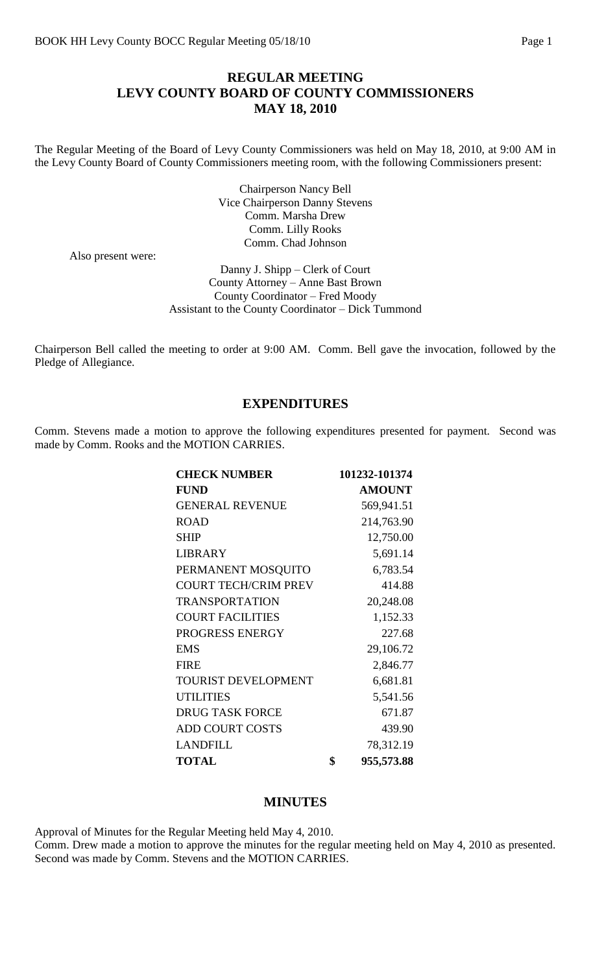### **REGULAR MEETING LEVY COUNTY BOARD OF COUNTY COMMISSIONERS MAY 18, 2010**

The Regular Meeting of the Board of Levy County Commissioners was held on May 18, 2010, at 9:00 AM in the Levy County Board of County Commissioners meeting room, with the following Commissioners present:

> Chairperson Nancy Bell Vice Chairperson Danny Stevens Comm. Marsha Drew Comm. Lilly Rooks Comm. Chad Johnson

Also present were:

Danny J. Shipp – Clerk of Court County Attorney – Anne Bast Brown County Coordinator – Fred Moody Assistant to the County Coordinator – Dick Tummond

Chairperson Bell called the meeting to order at 9:00 AM. Comm. Bell gave the invocation, followed by the Pledge of Allegiance.

### **EXPENDITURES**

Comm. Stevens made a motion to approve the following expenditures presented for payment. Second was made by Comm. Rooks and the MOTION CARRIES.

| <b>CHECK NUMBER</b>         | 101232-101374    |
|-----------------------------|------------------|
| <b>FUND</b>                 | <b>AMOUNT</b>    |
| <b>GENERAL REVENUE</b>      | 569,941.51       |
| <b>ROAD</b>                 | 214,763.90       |
| <b>SHIP</b>                 | 12,750.00        |
| <b>LIBRARY</b>              | 5,691.14         |
| PERMANENT MOSQUITO          | 6,783.54         |
| <b>COURT TECH/CRIM PREV</b> | 414.88           |
| <b>TRANSPORTATION</b>       | 20,248.08        |
| <b>COURT FACILITIES</b>     | 1,152.33         |
| PROGRESS ENERGY             | 227.68           |
| <b>EMS</b>                  | 29,106.72        |
| <b>FIRE</b>                 | 2,846.77         |
| <b>TOURIST DEVELOPMENT</b>  | 6,681.81         |
| <b>UTILITIES</b>            | 5,541.56         |
| <b>DRUG TASK FORCE</b>      | 671.87           |
| <b>ADD COURT COSTS</b>      | 439.90           |
| <b>LANDFILL</b>             | 78,312.19        |
| <b>TOTAL</b>                | \$<br>955,573.88 |

### **MINUTES**

Approval of Minutes for the Regular Meeting held May 4, 2010.

Comm. Drew made a motion to approve the minutes for the regular meeting held on May 4, 2010 as presented. Second was made by Comm. Stevens and the MOTION CARRIES.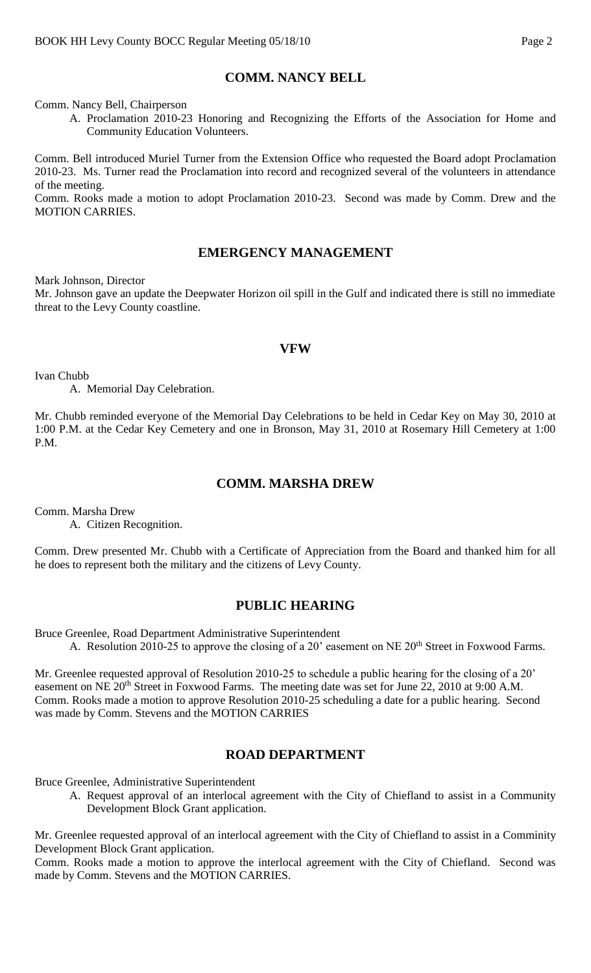## **COMM. NANCY BELL**

Comm. Nancy Bell, Chairperson

A. Proclamation 2010-23 Honoring and Recognizing the Efforts of the Association for Home and Community Education Volunteers.

Comm. Bell introduced Muriel Turner from the Extension Office who requested the Board adopt Proclamation 2010-23. Ms. Turner read the Proclamation into record and recognized several of the volunteers in attendance of the meeting.

Comm. Rooks made a motion to adopt Proclamation 2010-23. Second was made by Comm. Drew and the MOTION CARRIES.

### **EMERGENCY MANAGEMENT**

Mark Johnson, Director

Mr. Johnson gave an update the Deepwater Horizon oil spill in the Gulf and indicated there is still no immediate threat to the Levy County coastline.

#### **VFW**

Ivan Chubb

A. Memorial Day Celebration.

Mr. Chubb reminded everyone of the Memorial Day Celebrations to be held in Cedar Key on May 30, 2010 at 1:00 P.M. at the Cedar Key Cemetery and one in Bronson, May 31, 2010 at Rosemary Hill Cemetery at 1:00 P.M.

### **COMM. MARSHA DREW**

Comm. Marsha Drew

A. Citizen Recognition.

Comm. Drew presented Mr. Chubb with a Certificate of Appreciation from the Board and thanked him for all he does to represent both the military and the citizens of Levy County.

## **PUBLIC HEARING**

Bruce Greenlee, Road Department Administrative Superintendent

A. Resolution 2010-25 to approve the closing of a 20' easement on NE 20<sup>th</sup> Street in Foxwood Farms.

Mr. Greenlee requested approval of Resolution 2010-25 to schedule a public hearing for the closing of a 20' easement on NE 20<sup>th</sup> Street in Foxwood Farms. The meeting date was set for June 22, 2010 at 9:00 A.M. Comm. Rooks made a motion to approve Resolution 2010-25 scheduling a date for a public hearing. Second was made by Comm. Stevens and the MOTION CARRIES

## **ROAD DEPARTMENT**

Bruce Greenlee, Administrative Superintendent

A. Request approval of an interlocal agreement with the City of Chiefland to assist in a Community Development Block Grant application.

Mr. Greenlee requested approval of an interlocal agreement with the City of Chiefland to assist in a Comminity Development Block Grant application.

Comm. Rooks made a motion to approve the interlocal agreement with the City of Chiefland. Second was made by Comm. Stevens and the MOTION CARRIES.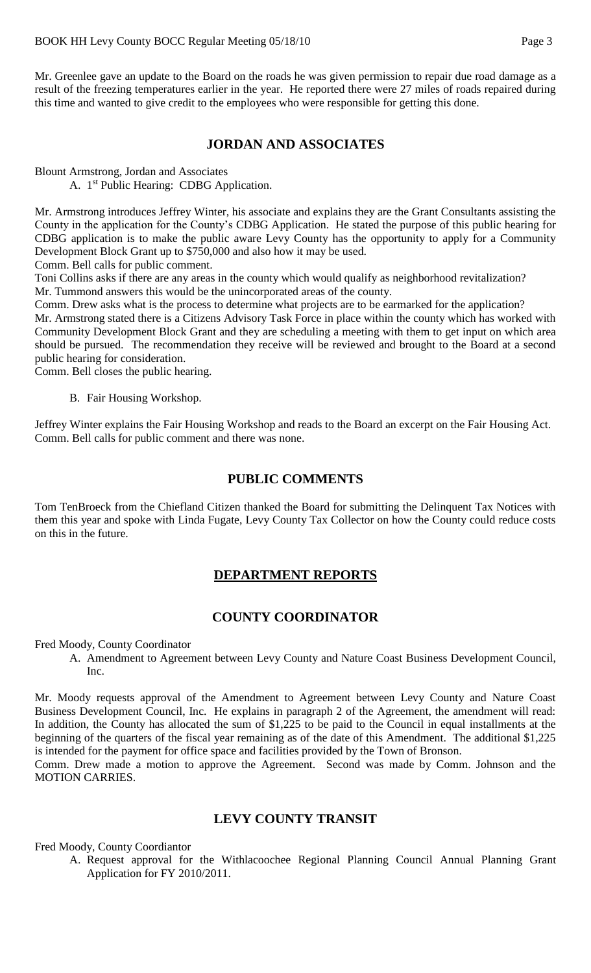Mr. Greenlee gave an update to the Board on the roads he was given permission to repair due road damage as a result of the freezing temperatures earlier in the year. He reported there were 27 miles of roads repaired during this time and wanted to give credit to the employees who were responsible for getting this done.

### **JORDAN AND ASSOCIATES**

Blount Armstrong, Jordan and Associates

A. 1<sup>st</sup> Public Hearing: CDBG Application.

Mr. Armstrong introduces Jeffrey Winter, his associate and explains they are the Grant Consultants assisting the County in the application for the County's CDBG Application. He stated the purpose of this public hearing for CDBG application is to make the public aware Levy County has the opportunity to apply for a Community Development Block Grant up to \$750,000 and also how it may be used.

Comm. Bell calls for public comment.

Toni Collins asks if there are any areas in the county which would qualify as neighborhood revitalization? Mr. Tummond answers this would be the unincorporated areas of the county.

Comm. Drew asks what is the process to determine what projects are to be earmarked for the application? Mr. Armstrong stated there is a Citizens Advisory Task Force in place within the county which has worked with Community Development Block Grant and they are scheduling a meeting with them to get input on which area should be pursued. The recommendation they receive will be reviewed and brought to the Board at a second public hearing for consideration.

Comm. Bell closes the public hearing.

B. Fair Housing Workshop.

Jeffrey Winter explains the Fair Housing Workshop and reads to the Board an excerpt on the Fair Housing Act. Comm. Bell calls for public comment and there was none.

## **PUBLIC COMMENTS**

Tom TenBroeck from the Chiefland Citizen thanked the Board for submitting the Delinquent Tax Notices with them this year and spoke with Linda Fugate, Levy County Tax Collector on how the County could reduce costs on this in the future.

## **DEPARTMENT REPORTS**

### **COUNTY COORDINATOR**

Fred Moody, County Coordinator

A. Amendment to Agreement between Levy County and Nature Coast Business Development Council, Inc.

Mr. Moody requests approval of the Amendment to Agreement between Levy County and Nature Coast Business Development Council, Inc. He explains in paragraph 2 of the Agreement, the amendment will read: In addition, the County has allocated the sum of \$1,225 to be paid to the Council in equal installments at the beginning of the quarters of the fiscal year remaining as of the date of this Amendment. The additional \$1,225 is intended for the payment for office space and facilities provided by the Town of Bronson.

Comm. Drew made a motion to approve the Agreement. Second was made by Comm. Johnson and the MOTION CARRIES.

### **LEVY COUNTY TRANSIT**

Fred Moody, County Coordiantor

A. Request approval for the Withlacoochee Regional Planning Council Annual Planning Grant Application for FY 2010/2011.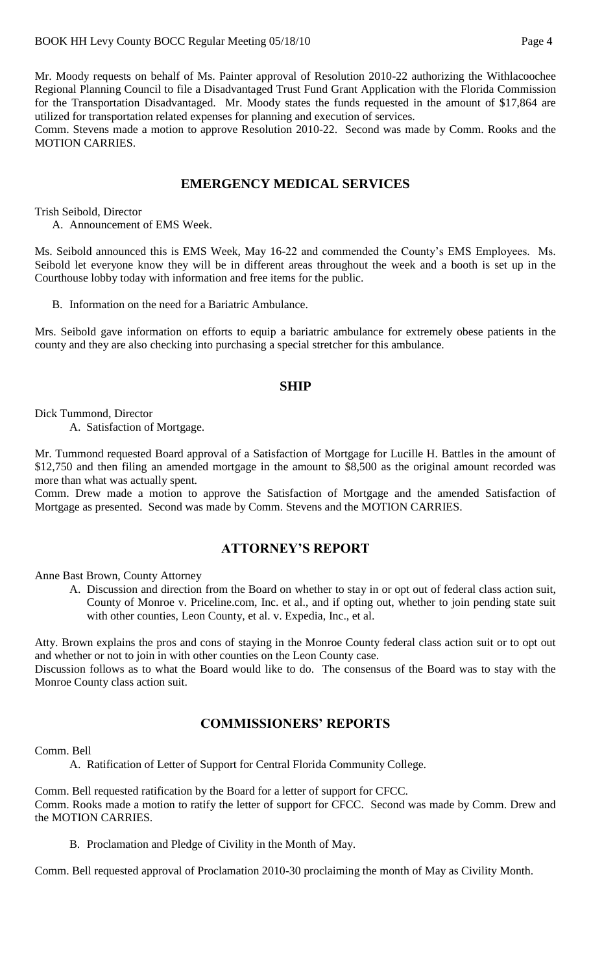Mr. Moody requests on behalf of Ms. Painter approval of Resolution 2010-22 authorizing the Withlacoochee Regional Planning Council to file a Disadvantaged Trust Fund Grant Application with the Florida Commission for the Transportation Disadvantaged. Mr. Moody states the funds requested in the amount of \$17,864 are utilized for transportation related expenses for planning and execution of services.

Comm. Stevens made a motion to approve Resolution 2010-22. Second was made by Comm. Rooks and the MOTION CARRIES.

#### **EMERGENCY MEDICAL SERVICES**

Trish Seibold, Director

A. Announcement of EMS Week.

Ms. Seibold announced this is EMS Week, May 16-22 and commended the County's EMS Employees. Ms. Seibold let everyone know they will be in different areas throughout the week and a booth is set up in the Courthouse lobby today with information and free items for the public.

B. Information on the need for a Bariatric Ambulance.

Mrs. Seibold gave information on efforts to equip a bariatric ambulance for extremely obese patients in the county and they are also checking into purchasing a special stretcher for this ambulance.

#### **SHIP**

Dick Tummond, Director

A. Satisfaction of Mortgage.

Mr. Tummond requested Board approval of a Satisfaction of Mortgage for Lucille H. Battles in the amount of \$12,750 and then filing an amended mortgage in the amount to \$8,500 as the original amount recorded was more than what was actually spent.

Comm. Drew made a motion to approve the Satisfaction of Mortgage and the amended Satisfaction of Mortgage as presented. Second was made by Comm. Stevens and the MOTION CARRIES.

### **ATTORNEY'S REPORT**

Anne Bast Brown, County Attorney

A. Discussion and direction from the Board on whether to stay in or opt out of federal class action suit, County of Monroe v. Priceline.com, Inc. et al., and if opting out, whether to join pending state suit with other counties, Leon County, et al. v. Expedia, Inc., et al.

Atty. Brown explains the pros and cons of staying in the Monroe County federal class action suit or to opt out and whether or not to join in with other counties on the Leon County case.

Discussion follows as to what the Board would like to do. The consensus of the Board was to stay with the Monroe County class action suit.

#### **COMMISSIONERS' REPORTS**

Comm. Bell

A. Ratification of Letter of Support for Central Florida Community College.

Comm. Bell requested ratification by the Board for a letter of support for CFCC. Comm. Rooks made a motion to ratify the letter of support for CFCC. Second was made by Comm. Drew and the MOTION CARRIES.

B. Proclamation and Pledge of Civility in the Month of May.

Comm. Bell requested approval of Proclamation 2010-30 proclaiming the month of May as Civility Month.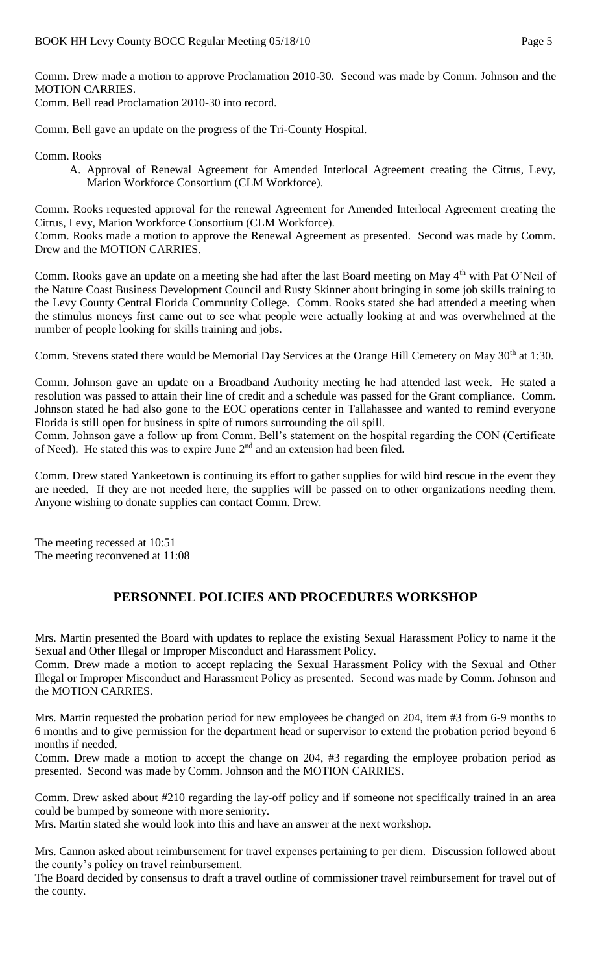Comm. Drew made a motion to approve Proclamation 2010-30. Second was made by Comm. Johnson and the MOTION CARRIES.

Comm. Bell read Proclamation 2010-30 into record.

Comm. Bell gave an update on the progress of the Tri-County Hospital.

Comm. Rooks

A. Approval of Renewal Agreement for Amended Interlocal Agreement creating the Citrus, Levy, Marion Workforce Consortium (CLM Workforce).

Comm. Rooks requested approval for the renewal Agreement for Amended Interlocal Agreement creating the Citrus, Levy, Marion Workforce Consortium (CLM Workforce).

Comm. Rooks made a motion to approve the Renewal Agreement as presented. Second was made by Comm. Drew and the MOTION CARRIES.

Comm. Rooks gave an update on a meeting she had after the last Board meeting on May 4<sup>th</sup> with Pat O'Neil of the Nature Coast Business Development Council and Rusty Skinner about bringing in some job skills training to the Levy County Central Florida Community College. Comm. Rooks stated she had attended a meeting when the stimulus moneys first came out to see what people were actually looking at and was overwhelmed at the number of people looking for skills training and jobs.

Comm. Stevens stated there would be Memorial Day Services at the Orange Hill Cemetery on May 30<sup>th</sup> at 1:30.

Comm. Johnson gave an update on a Broadband Authority meeting he had attended last week. He stated a resolution was passed to attain their line of credit and a schedule was passed for the Grant compliance. Comm. Johnson stated he had also gone to the EOC operations center in Tallahassee and wanted to remind everyone Florida is still open for business in spite of rumors surrounding the oil spill.

Comm. Johnson gave a follow up from Comm. Bell's statement on the hospital regarding the CON (Certificate of Need). He stated this was to expire June 2<sup>nd</sup> and an extension had been filed.

Comm. Drew stated Yankeetown is continuing its effort to gather supplies for wild bird rescue in the event they are needed. If they are not needed here, the supplies will be passed on to other organizations needing them. Anyone wishing to donate supplies can contact Comm. Drew.

The meeting recessed at 10:51 The meeting reconvened at 11:08

# **PERSONNEL POLICIES AND PROCEDURES WORKSHOP**

Mrs. Martin presented the Board with updates to replace the existing Sexual Harassment Policy to name it the Sexual and Other Illegal or Improper Misconduct and Harassment Policy.

Comm. Drew made a motion to accept replacing the Sexual Harassment Policy with the Sexual and Other Illegal or Improper Misconduct and Harassment Policy as presented. Second was made by Comm. Johnson and the MOTION CARRIES.

Mrs. Martin requested the probation period for new employees be changed on 204, item #3 from 6-9 months to 6 months and to give permission for the department head or supervisor to extend the probation period beyond 6 months if needed.

Comm. Drew made a motion to accept the change on 204, #3 regarding the employee probation period as presented. Second was made by Comm. Johnson and the MOTION CARRIES.

Comm. Drew asked about #210 regarding the lay-off policy and if someone not specifically trained in an area could be bumped by someone with more seniority.

Mrs. Martin stated she would look into this and have an answer at the next workshop.

Mrs. Cannon asked about reimbursement for travel expenses pertaining to per diem. Discussion followed about the county's policy on travel reimbursement.

The Board decided by consensus to draft a travel outline of commissioner travel reimbursement for travel out of the county.